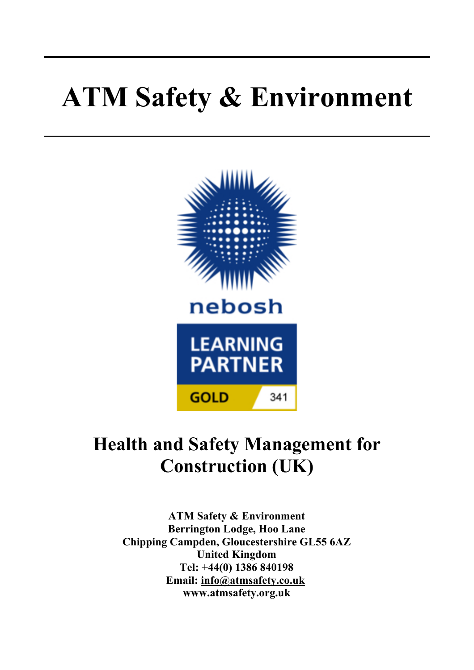# **ATM Safety & Environment**



# **Health and Safety Management for Construction (UK)**

**ATM Safety & Environment Berrington Lodge, Hoo Lane Chipping Campden, Gloucestershire GL55 6AZ United Kingdom Tel: +44(0) 1386 840198 Email: info@atmsafety.co.uk www.atmsafety.org.uk**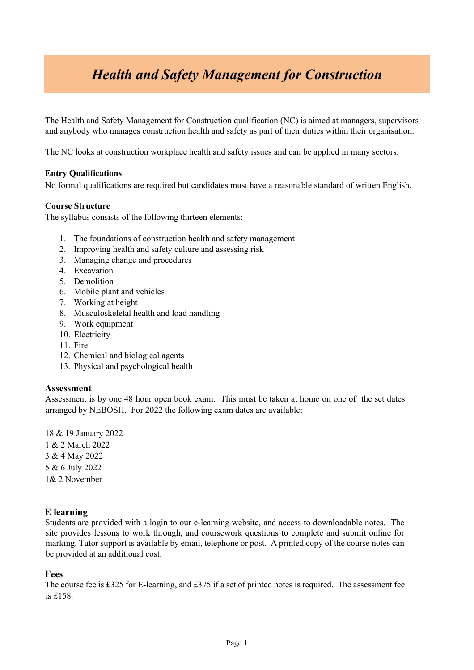## *Health and Safety Management for Construction*

The Health and Safety Management for Construction qualification (NC) is aimed at managers, supervisors and anybody who manages construction health and safety as part of their duties within their organisation.

The NC looks at construction workplace health and safety issues and can be applied in many sectors.

#### **Entry Qualifications**

No formal qualifications are required but candidates must have a reasonable standard of written English.

#### **Course Structure**

The syllabus consists of the following thirteen elements:

- 1. The foundations of construction health and safety management
- 2. Improving health and safety culture and assessing risk
- 3. Managing change and procedures
- 4. Excavation
- 5. Demolition
- 6. Mobile plant and vehicles
- 7. Working at height
- 8. Musculoskeletal health and load handling
- 9. Work equipment
- 10. Electricity
- 11. Fire
- 12. Chemical and biological agents
- 13. Physical and psychological health

#### **Assessment**

Assessment is by one 48 hour open book exam. This must be taken at home on one of the set dates arranged by NEBOSH. For 2022 the following exam dates are available:

18 & 19 January 2022 1 & 2 March 2022 3 & 4 May 2022 5 & 6 July 2022 1& 2 November

#### **E learning**

Students are provided with a login to our e-learning website, and access to downloadable notes. The site provides lessons to work through, and coursework questions to complete and submit online for marking. Tutor support is available by email, telephone or post. A printed copy of the course notes can be provided at an additional cost.

#### **Fees**

The course fee is £325 for E-learning, and £375 if a set of printed notes is required. The assessment fee is £158.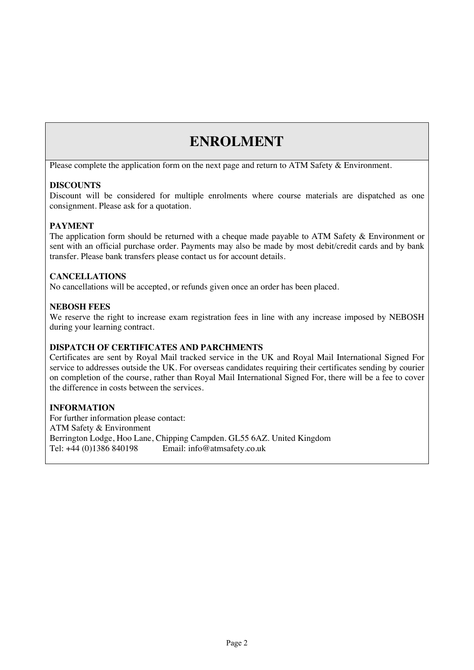### **ENROLMENT**

Please complete the application form on the next page and return to ATM Safety & Environment.

#### **DISCOUNTS**

Discount will be considered for multiple enrolments where course materials are dispatched as one consignment. Please ask for a quotation.

#### **PAYMENT**

The application form should be returned with a cheque made payable to ATM Safety & Environment or sent with an official purchase order. Payments may also be made by most debit/credit cards and by bank transfer. Please bank transfers please contact us for account details.

#### **CANCELLATIONS**

No cancellations will be accepted, or refunds given once an order has been placed.

#### **NEBOSH FEES**

We reserve the right to increase exam registration fees in line with any increase imposed by NEBOSH during your learning contract.

#### **DISPATCH OF CERTIFICATES AND PARCHMENTS**

Certificates are sent by Royal Mail tracked service in the UK and Royal Mail International Signed For service to addresses outside the UK. For overseas candidates requiring their certificates sending by courier on completion of the course, rather than Royal Mail International Signed For, there will be a fee to cover the difference in costs between the services.

#### **INFORMATION**

For further information please contact: ATM Safety & Environment Berrington Lodge, Hoo Lane, Chipping Campden. GL55 6AZ. United Kingdom Tel: +44 (0)1386 840198 Email: info@atmsafety.co.uk Email: info@atmsafety.co.uk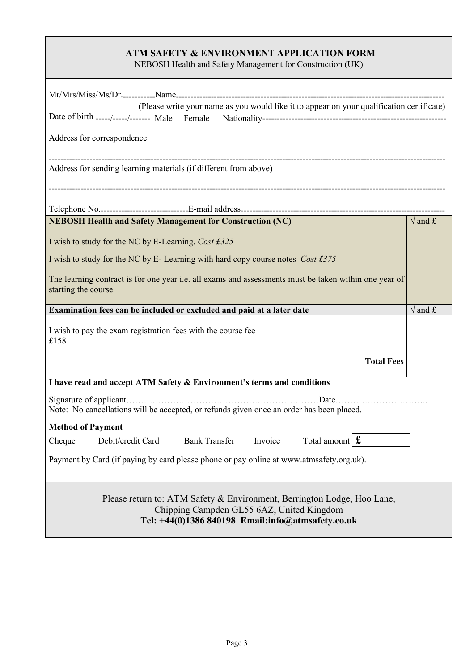#### **ATM SAFETY & ENVIRONMENT APPLICATION FORM**

NEBOSH Health and Safety Management for Construction (UK)

| (Please write your name as you would like it to appear on your qualification certificate)                                               |                            |
|-----------------------------------------------------------------------------------------------------------------------------------------|----------------------------|
| Date of birth -----/-----/------- Male Female                                                                                           |                            |
| Address for correspondence                                                                                                              |                            |
| Address for sending learning materials (if different from above)                                                                        |                            |
|                                                                                                                                         |                            |
| <b>NEBOSH Health and Safety Management for Construction (NC)</b>                                                                        | $\sqrt{\text{and } f}$     |
| I wish to study for the NC by E-Learning. Cost £325<br>I wish to study for the NC by E-Learning with hard copy course notes $Cost f375$ |                            |
| The learning contract is for one year i.e. all exams and assessments must be taken within one year of<br>starting the course.           |                            |
| Examination fees can be included or excluded and paid at a later date                                                                   | $\overline{\sqrt{}}$ and £ |
| I wish to pay the exam registration fees with the course fee<br>£158                                                                    |                            |
| <b>Total Fees</b>                                                                                                                       |                            |
| I have read and accept ATM Safety & Environment's terms and conditions                                                                  |                            |
|                                                                                                                                         |                            |
| Note: No cancellations will be accepted, or refunds given once an order has been placed.                                                |                            |
| <b>Method of Payment</b>                                                                                                                |                            |
| Cheque Debit/credit Card Bank Transfer Invoice Total amount $\mathbf{\hat{f}}$                                                          |                            |
| Payment by Card (if paying by card please phone or pay online at www.atmsafety.org.uk).                                                 |                            |

**Contract**